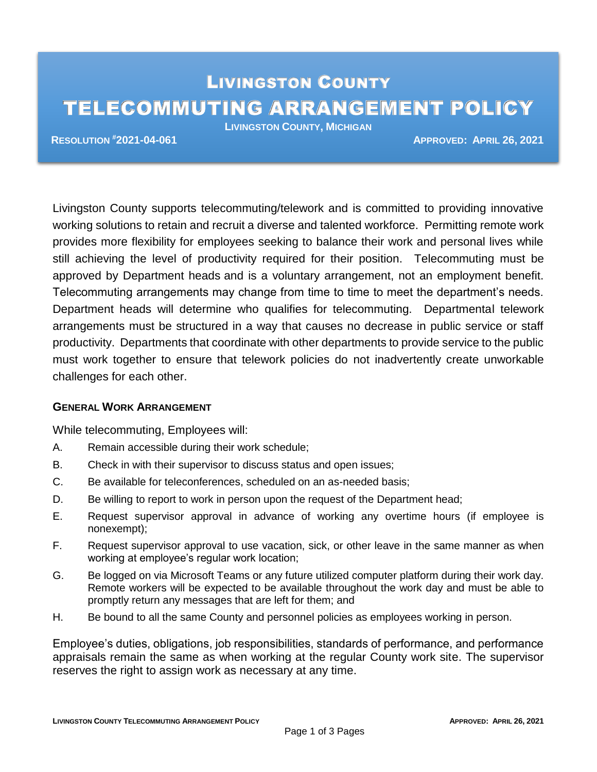# LIVINGSTON COUNTY TELECOMMUTING ARRANGEMENT POLICY

**LIVINGSTON COUNTY, MICHIGAN**

**RESOLUTION #2021-04-061 APPROVED: APRIL 26, 2021**

Livingston County supports telecommuting/telework and is committed to providing innovative working solutions to retain and recruit a diverse and talented workforce. Permitting remote work provides more flexibility for employees seeking to balance their work and personal lives while still achieving the level of productivity required for their position. Telecommuting must be approved by Department heads and is a voluntary arrangement, not an employment benefit. Telecommuting arrangements may change from time to time to meet the department's needs. Department heads will determine who qualifies for telecommuting. Departmental telework arrangements must be structured in a way that causes no decrease in public service or staff productivity. Departments that coordinate with other departments to provide service to the public must work together to ensure that telework policies do not inadvertently create unworkable challenges for each other.

## **GENERAL WORK ARRANGEMENT**

While telecommuting, Employees will:

- A. Remain accessible during their work schedule;
- B. Check in with their supervisor to discuss status and open issues;
- C. Be available for teleconferences, scheduled on an as-needed basis;
- D. Be willing to report to work in person upon the request of the Department head;
- E. Request supervisor approval in advance of working any overtime hours (if employee is nonexempt);
- F. Request supervisor approval to use vacation, sick, or other leave in the same manner as when working at employee's regular work location;
- G. Be logged on via Microsoft Teams or any future utilized computer platform during their work day. Remote workers will be expected to be available throughout the work day and must be able to promptly return any messages that are left for them; and
- H. Be bound to all the same County and personnel policies as employees working in person.

Employee's duties, obligations, job responsibilities, standards of performance, and performance appraisals remain the same as when working at the regular County work site. The supervisor reserves the right to assign work as necessary at any time.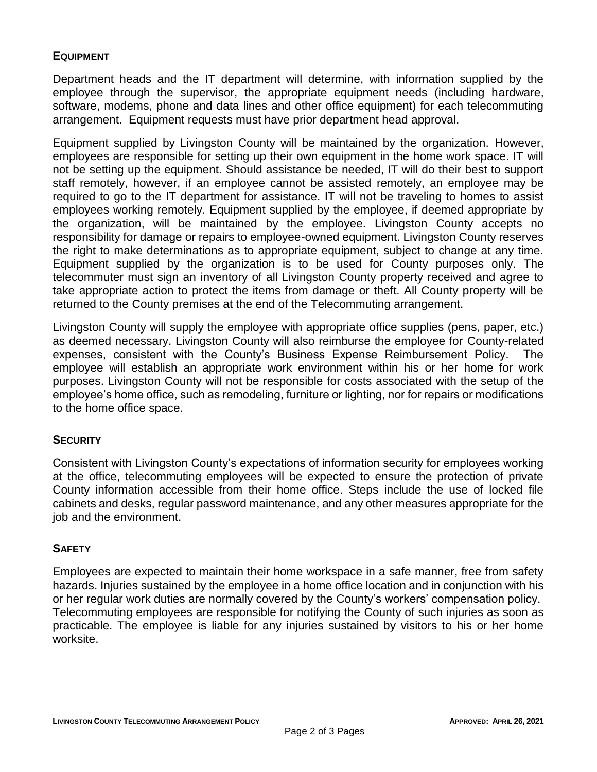# **EQUIPMENT**

Department heads and the IT department will determine, with information supplied by the employee through the supervisor, the appropriate equipment needs (including hardware, software, modems, phone and data lines and other office equipment) for each telecommuting arrangement. Equipment requests must have prior department head approval.

Equipment supplied by Livingston County will be maintained by the organization. However, employees are responsible for setting up their own equipment in the home work space. IT will not be setting up the equipment. Should assistance be needed, IT will do their best to support staff remotely, however, if an employee cannot be assisted remotely, an employee may be required to go to the IT department for assistance. IT will not be traveling to homes to assist employees working remotely. Equipment supplied by the employee, if deemed appropriate by the organization, will be maintained by the employee. Livingston County accepts no responsibility for damage or repairs to employee-owned equipment. Livingston County reserves the right to make determinations as to appropriate equipment, subject to change at any time. Equipment supplied by the organization is to be used for County purposes only. The telecommuter must sign an inventory of all Livingston County property received and agree to take appropriate action to protect the items from damage or theft. All County property will be returned to the County premises at the end of the Telecommuting arrangement.

Livingston County will supply the employee with appropriate office supplies (pens, paper, etc.) as deemed necessary. Livingston County will also reimburse the employee for County-related expenses, consistent with the County's Business Expense Reimbursement Policy. The employee will establish an appropriate work environment within his or her home for work purposes. Livingston County will not be responsible for costs associated with the setup of the employee's home office, such as remodeling, furniture or lighting, nor for repairs or modifications to the home office space.

## **SECURITY**

Consistent with Livingston County's expectations of information security for employees working at the office, telecommuting employees will be expected to ensure the protection of private County information accessible from their home office. Steps include the use of locked file cabinets and desks, regular password maintenance, and any other measures appropriate for the job and the environment.

#### **SAFETY**

Employees are expected to maintain their home workspace in a safe manner, free from safety hazards. Injuries sustained by the employee in a home office location and in conjunction with his or her regular work duties are normally covered by the County's workers' compensation policy. Telecommuting employees are responsible for notifying the County of such injuries as soon as practicable. The employee is liable for any injuries sustained by visitors to his or her home worksite.